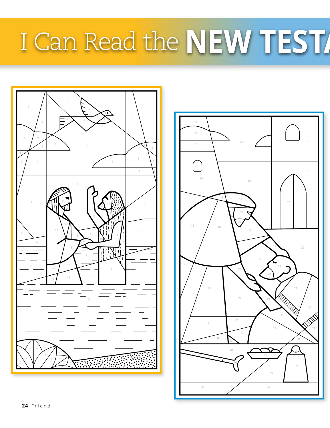## I Can Read the **NEW TEST**



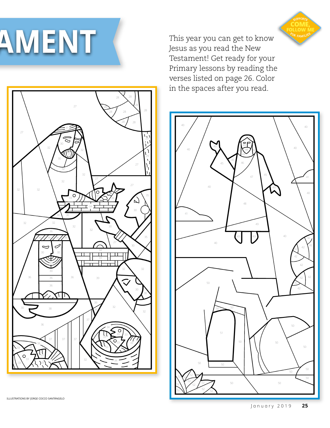

Jesus as you read the New Testament! Get ready for your Primary lessons by reading the verses listed on page 26. Color in the spaces after you read.